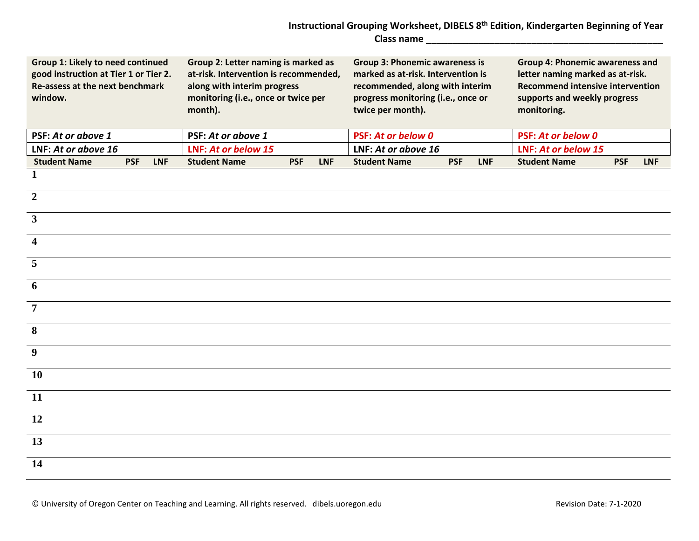## **Instructional Grouping Worksheet, DIBELS 8th Edition, Kindergarten Beginning of Year Class name** \_\_\_\_\_\_\_\_\_\_\_\_\_\_\_\_\_\_\_\_\_\_\_\_\_\_\_\_\_\_\_\_\_\_\_\_\_\_\_\_\_\_\_\_\_

| Group 1: Likely to need continued<br>good instruction at Tier 1 or Tier 2.<br>Re-assess at the next benchmark<br>window. |            |            | Group 2: Letter naming is marked as<br>at-risk. Intervention is recommended,<br>along with interim progress<br>monitoring (i.e., once or twice per<br>month). |  |            | <b>Group 3: Phonemic awareness is</b><br>marked as at-risk. Intervention is<br>recommended, along with interim<br>progress monitoring (i.e., once or<br>twice per month). |                     |            | Group 4: Phonemic awareness and<br>letter naming marked as at-risk.<br><b>Recommend intensive intervention</b><br>supports and weekly progress<br>monitoring. |                     |            |            |
|--------------------------------------------------------------------------------------------------------------------------|------------|------------|---------------------------------------------------------------------------------------------------------------------------------------------------------------|--|------------|---------------------------------------------------------------------------------------------------------------------------------------------------------------------------|---------------------|------------|---------------------------------------------------------------------------------------------------------------------------------------------------------------|---------------------|------------|------------|
| PSF: At or above 1                                                                                                       |            |            | PSF: At or above 1                                                                                                                                            |  |            | <b>PSF: At or below 0</b>                                                                                                                                                 |                     |            | <b>PSF: At or below 0</b>                                                                                                                                     |                     |            |            |
| LNF: At or above 16                                                                                                      |            |            | LNF: At or below 15                                                                                                                                           |  |            | LNF: At or above 16                                                                                                                                                       |                     |            | LNF: At or below 15                                                                                                                                           |                     |            |            |
| <b>Student Name</b>                                                                                                      | <b>PSF</b> | <b>LNF</b> | <b>Student Name</b>                                                                                                                                           |  | <b>PSF</b> | <b>LNF</b>                                                                                                                                                                | <b>Student Name</b> | <b>PSF</b> | <b>LNF</b>                                                                                                                                                    | <b>Student Name</b> | <b>PSF</b> | <b>LNF</b> |
| $\mathbf{1}$                                                                                                             |            |            |                                                                                                                                                               |  |            |                                                                                                                                                                           |                     |            |                                                                                                                                                               |                     |            |            |
| $\overline{2}$                                                                                                           |            |            |                                                                                                                                                               |  |            |                                                                                                                                                                           |                     |            |                                                                                                                                                               |                     |            |            |
| $\mathbf{3}$                                                                                                             |            |            |                                                                                                                                                               |  |            |                                                                                                                                                                           |                     |            |                                                                                                                                                               |                     |            |            |
| $\overline{\mathbf{4}}$                                                                                                  |            |            |                                                                                                                                                               |  |            |                                                                                                                                                                           |                     |            |                                                                                                                                                               |                     |            |            |
| 5                                                                                                                        |            |            |                                                                                                                                                               |  |            |                                                                                                                                                                           |                     |            |                                                                                                                                                               |                     |            |            |
| 6                                                                                                                        |            |            |                                                                                                                                                               |  |            |                                                                                                                                                                           |                     |            |                                                                                                                                                               |                     |            |            |
| $\overline{7}$                                                                                                           |            |            |                                                                                                                                                               |  |            |                                                                                                                                                                           |                     |            |                                                                                                                                                               |                     |            |            |
| 8                                                                                                                        |            |            |                                                                                                                                                               |  |            |                                                                                                                                                                           |                     |            |                                                                                                                                                               |                     |            |            |
| 9                                                                                                                        |            |            |                                                                                                                                                               |  |            |                                                                                                                                                                           |                     |            |                                                                                                                                                               |                     |            |            |
| <b>10</b>                                                                                                                |            |            |                                                                                                                                                               |  |            |                                                                                                                                                                           |                     |            |                                                                                                                                                               |                     |            |            |
| 11                                                                                                                       |            |            |                                                                                                                                                               |  |            |                                                                                                                                                                           |                     |            |                                                                                                                                                               |                     |            |            |
| 12                                                                                                                       |            |            |                                                                                                                                                               |  |            |                                                                                                                                                                           |                     |            |                                                                                                                                                               |                     |            |            |
| 13                                                                                                                       |            |            |                                                                                                                                                               |  |            |                                                                                                                                                                           |                     |            |                                                                                                                                                               |                     |            |            |
| 14                                                                                                                       |            |            |                                                                                                                                                               |  |            |                                                                                                                                                                           |                     |            |                                                                                                                                                               |                     |            |            |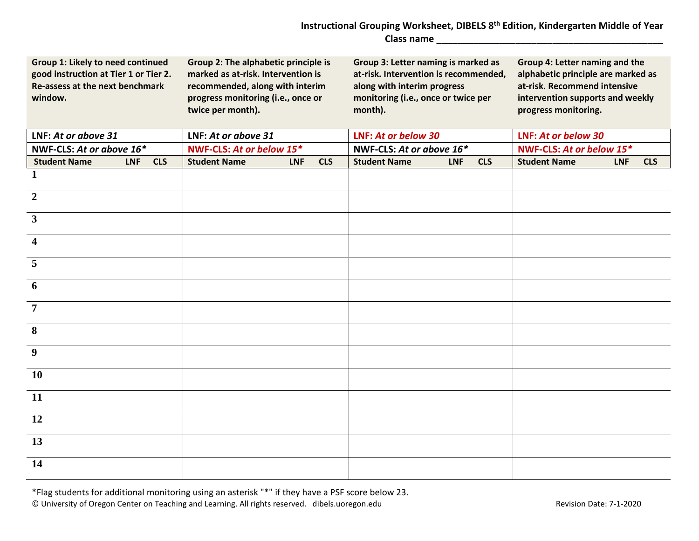## **Instructional Grouping Worksheet, DIBELS 8th Edition, Kindergarten Middle of Year Class name** \_\_\_\_\_\_\_\_\_\_\_\_\_\_\_\_\_\_\_\_\_\_\_\_\_\_\_\_\_\_\_\_\_\_\_\_\_\_\_\_\_\_\_

| Group 1: Likely to need continued<br>good instruction at Tier 1 or Tier 2.<br>Re-assess at the next benchmark<br>window. |            |            | Group 2: The alphabetic principle is<br>marked as at-risk. Intervention is<br>recommended, along with interim<br>progress monitoring (i.e., once or<br>twice per month). |            |            | Group 3: Letter naming is marked as<br>at-risk. Intervention is recommended,<br>along with interim progress<br>monitoring (i.e., once or twice per<br>month). |            |            | Group 4: Letter naming and the<br>alphabetic principle are marked as<br>at-risk. Recommend intensive<br>intervention supports and weekly<br>progress monitoring. |            |            |
|--------------------------------------------------------------------------------------------------------------------------|------------|------------|--------------------------------------------------------------------------------------------------------------------------------------------------------------------------|------------|------------|---------------------------------------------------------------------------------------------------------------------------------------------------------------|------------|------------|------------------------------------------------------------------------------------------------------------------------------------------------------------------|------------|------------|
| LNF: At or above 31                                                                                                      |            |            | LNF: At or above 31                                                                                                                                                      |            |            | LNF: At or below 30                                                                                                                                           |            |            | LNF: At or below 30                                                                                                                                              |            |            |
| NWF-CLS: At or above 16*                                                                                                 |            |            | NWF-CLS: At or below 15*                                                                                                                                                 |            |            | NWF-CLS: At or above 16*                                                                                                                                      |            |            | NWF-CLS: At or below 15*                                                                                                                                         |            |            |
| <b>Student Name</b>                                                                                                      | <b>LNF</b> | <b>CLS</b> | <b>Student Name</b>                                                                                                                                                      | <b>LNF</b> | <b>CLS</b> | <b>Student Name</b>                                                                                                                                           | <b>LNF</b> | <b>CLS</b> | <b>Student Name</b>                                                                                                                                              | <b>LNF</b> | <b>CLS</b> |
| $\mathbf{1}$                                                                                                             |            |            |                                                                                                                                                                          |            |            |                                                                                                                                                               |            |            |                                                                                                                                                                  |            |            |
| $\boldsymbol{2}$                                                                                                         |            |            |                                                                                                                                                                          |            |            |                                                                                                                                                               |            |            |                                                                                                                                                                  |            |            |
| $\overline{\mathbf{3}}$                                                                                                  |            |            |                                                                                                                                                                          |            |            |                                                                                                                                                               |            |            |                                                                                                                                                                  |            |            |
| $\overline{\mathbf{4}}$                                                                                                  |            |            |                                                                                                                                                                          |            |            |                                                                                                                                                               |            |            |                                                                                                                                                                  |            |            |
| $\overline{5}$                                                                                                           |            |            |                                                                                                                                                                          |            |            |                                                                                                                                                               |            |            |                                                                                                                                                                  |            |            |
| 6                                                                                                                        |            |            |                                                                                                                                                                          |            |            |                                                                                                                                                               |            |            |                                                                                                                                                                  |            |            |
| $\overline{7}$                                                                                                           |            |            |                                                                                                                                                                          |            |            |                                                                                                                                                               |            |            |                                                                                                                                                                  |            |            |
| $\overline{\mathbf{8}}$                                                                                                  |            |            |                                                                                                                                                                          |            |            |                                                                                                                                                               |            |            |                                                                                                                                                                  |            |            |
| $\overline{9}$                                                                                                           |            |            |                                                                                                                                                                          |            |            |                                                                                                                                                               |            |            |                                                                                                                                                                  |            |            |
| <b>10</b>                                                                                                                |            |            |                                                                                                                                                                          |            |            |                                                                                                                                                               |            |            |                                                                                                                                                                  |            |            |
| 11                                                                                                                       |            |            |                                                                                                                                                                          |            |            |                                                                                                                                                               |            |            |                                                                                                                                                                  |            |            |
| 12                                                                                                                       |            |            |                                                                                                                                                                          |            |            |                                                                                                                                                               |            |            |                                                                                                                                                                  |            |            |
| $\overline{13}$                                                                                                          |            |            |                                                                                                                                                                          |            |            |                                                                                                                                                               |            |            |                                                                                                                                                                  |            |            |
| $\overline{14}$                                                                                                          |            |            |                                                                                                                                                                          |            |            |                                                                                                                                                               |            |            |                                                                                                                                                                  |            |            |

\*Flag students for additional monitoring using an asterisk "\*" if they have a PSF score below 23. © University of Oregon Center on Teaching and Learning. All rights reserved. dibels.uoregon.edu Revision Date: 7-1-2020